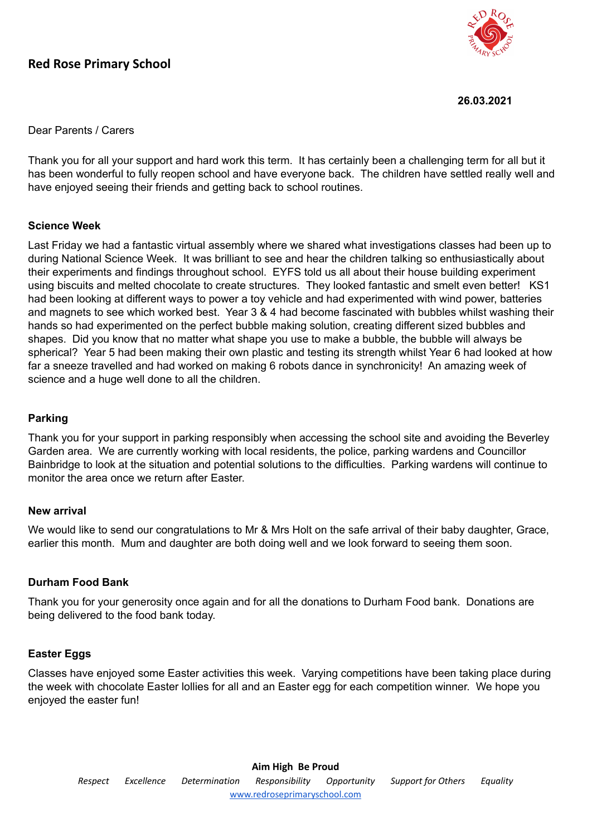# **Red Rose Primary School**



**26.03.2021**

Dear Parents / Carers

Thank you for all your support and hard work this term. It has certainly been a challenging term for all but it has been wonderful to fully reopen school and have everyone back. The children have settled really well and have enjoyed seeing their friends and getting back to school routines.

#### **Science Week**

Last Friday we had a fantastic virtual assembly where we shared what investigations classes had been up to during National Science Week. It was brilliant to see and hear the children talking so enthusiastically about their experiments and findings throughout school. EYFS told us all about their house building experiment using biscuits and melted chocolate to create structures. They looked fantastic and smelt even better! KS1 had been looking at different ways to power a toy vehicle and had experimented with wind power, batteries and magnets to see which worked best. Year 3 & 4 had become fascinated with bubbles whilst washing their hands so had experimented on the perfect bubble making solution, creating different sized bubbles and shapes. Did you know that no matter what shape you use to make a bubble, the bubble will always be spherical? Year 5 had been making their own plastic and testing its strength whilst Year 6 had looked at how far a sneeze travelled and had worked on making 6 robots dance in synchronicity! An amazing week of science and a huge well done to all the children.

### **Parking**

Thank you for your support in parking responsibly when accessing the school site and avoiding the Beverley Garden area. We are currently working with local residents, the police, parking wardens and Councillor Bainbridge to look at the situation and potential solutions to the difficulties. Parking wardens will continue to monitor the area once we return after Easter.

#### **New arrival**

We would like to send our congratulations to Mr & Mrs Holt on the safe arrival of their baby daughter, Grace, earlier this month. Mum and daughter are both doing well and we look forward to seeing them soon.

## **Durham Food Bank**

Thank you for your generosity once again and for all the donations to Durham Food bank. Donations are being delivered to the food bank today.

## **Easter Eggs**

Classes have enjoyed some Easter activities this week. Varying competitions have been taking place during the week with chocolate Easter lollies for all and an Easter egg for each competition winner. We hope you enjoyed the easter fun!